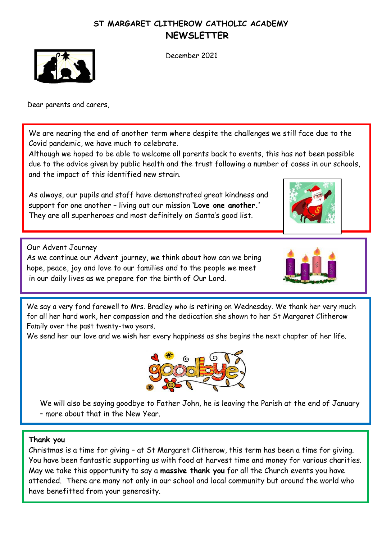## **ST MARGARET CLITHEROW CATHOLIC ACADEMY NEWSLETTER**



December 2021

Dear parents and carers,

We are nearing the end of another term where despite the challenges we still face due to the Covid pandemic, we have much to celebrate.

Although we hoped to be able to welcome all parents back to events, this has not been possible due to the advice given by public health and the trust following a number of cases in our schools, and the impact of this identified new strain.

As always, our pupils and staff have demonstrated great kindness and support for one another – living out our mission **'Love one another.'**  They are all superheroes and most definitely on Santa's good list.



Our Advent Journey As we continue our Advent journey, we think about how can we bring hope, peace, joy and love to our families and to the people we meet in our daily lives as we prepare for the birth of Our Lord.



We say a very fond farewell to Mrs. Bradley who is retiring on Wednesday. We thank her very much for all her hard work, her compassion and the dedication she shown to her St Margaret Clitherow Family over the past twenty-two years.

We send her our love and we wish her every happiness as she begins the next chapter of her life.



We will also be saying goodbye to Father John, he is leaving the Parish at the end of January – more about that in the New Year.

## **Thank you**

Christmas is a time for giving – at St Margaret Clitherow, this term has been a time for giving. You have been fantastic supporting us with food at harvest time and money for various charities. May we take this opportunity to say a **massive thank you** for all the Church events you have attended. There are many not only in our school and local community but around the world who have benefitted from your generosity.